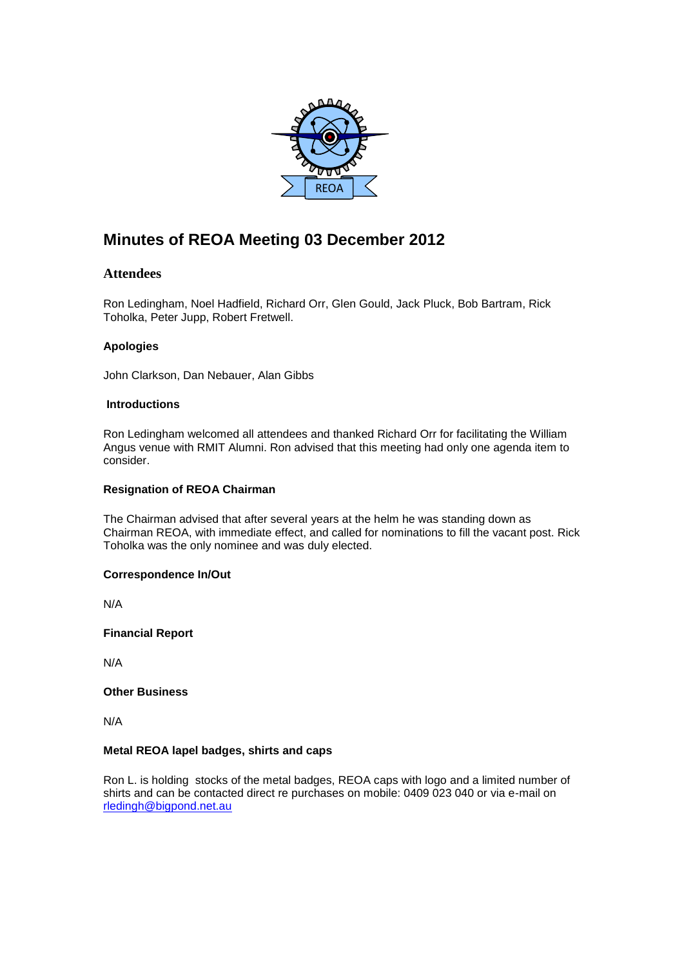

# **Minutes of REOA Meeting 03 December 2012**

## **Attendees**

Ron Ledingham, Noel Hadfield, Richard Orr, Glen Gould, Jack Pluck, Bob Bartram, Rick Toholka, Peter Jupp, Robert Fretwell.

## **Apologies**

John Clarkson, Dan Nebauer, Alan Gibbs

## **Introductions**

Ron Ledingham welcomed all attendees and thanked Richard Orr for facilitating the William Angus venue with RMIT Alumni. Ron advised that this meeting had only one agenda item to consider.

## **Resignation of REOA Chairman**

The Chairman advised that after several years at the helm he was standing down as Chairman REOA, with immediate effect, and called for nominations to fill the vacant post. Rick Toholka was the only nominee and was duly elected.

## **Correspondence In/Out**

N/A

**Financial Report**

N/A

## **Other Business**

N/A

## **Metal REOA lapel badges, shirts and caps**

Ron L. is holding stocks of the metal badges, REOA caps with logo and a limited number of shirts and can be contacted direct re purchases on mobile: 0409 023 040 or via e-mail on [rledingh@bigpond.net.au](mailto:rledingh@bigpond.net.au)